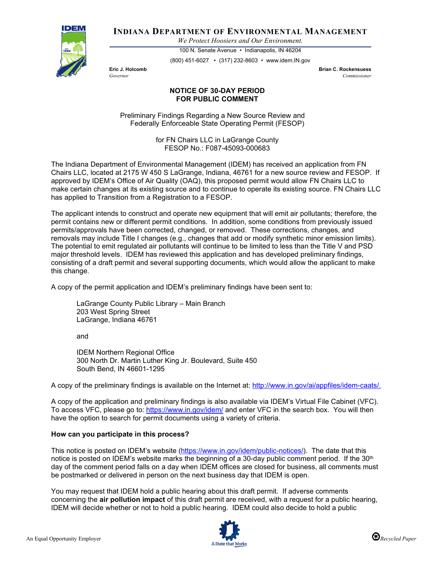

**INDIANA DEPARTMENT OF ENVIRONMENTAL MANAGEMENT**

*We Protect Hoosiers and Our Environment.*

100 N. Senate Avenue • Indianapolis, IN 46204 (800) 451-6027 • (317) 232-8603 • www.idem.IN.gov

**Eric J. Holcomb Brian C. Rockensuess** *Governor Commissioner* 

## **NOTICE OF 30-DAY PERIOD FOR PUBLIC COMMENT**

Preliminary Findings Regarding a New Source Review and Federally Enforceable State Operating Permit (FESOP)

> for FN Chairs LLC in LaGrange County FESOP No.: F087-45093-000683

The Indiana Department of Environmental Management (IDEM) has received an application from FN Chairs LLC, located at 2175 W 450 S LaGrange, Indiana, 46761 for a new source review and FESOP. If approved by IDEM's Office of Air Quality (OAQ), this proposed permit would allow FN Chairs LLC to make certain changes at its existing source and to continue to operate its existing source. FN Chairs LLC has applied to Transition from a Registration to a FESOP.

The applicant intends to construct and operate new equipment that will emit air pollutants; therefore, the permit contains new or different permit conditions. In addition, some conditions from previously issued permits/approvals have been corrected, changed, or removed. These corrections, changes, and removals may include Title I changes (e.g., changes that add or modify synthetic minor emission limits). The potential to emit regulated air pollutants will continue to be limited to less than the Title V and PSD major threshold levels. IDEM has reviewed this application and has developed preliminary findings, consisting of a draft permit and several supporting documents, which would allow the applicant to make this change.

A copy of the permit application and IDEM's preliminary findings have been sent to:

LaGrange County Public Library – Main Branch 203 West Spring Street LaGrange, Indiana 46761

and

IDEM Northern Regional Office 300 North Dr. Martin Luther King Jr. Boulevard, Suite 450 South Bend, IN 46601-1295

A copy of the preliminary findings is available on the Internet at: [http://www.in.gov/ai/appfiles/idem-caats/.](http://www.in.gov/ai/appfiles/idem-caats/)

A copy of the application and preliminary findings is also available via IDEM's Virtual File Cabinet (VFC). To access VFC, please go to:<https://www.in.gov/idem/> and enter VFC in the search box. You will then have the option to search for permit documents using a variety of criteria.

## **How can you participate in this process?**

This notice is posted on IDEM's website [\(https://www.in.gov/idem/public-notices/\)](https://www.in.gov/idem/public-notices/). The date that this notice is posted on IDEM's website marks the beginning of a 30-day public comment period. If the 30<sup>th</sup> day of the comment period falls on a day when IDEM offices are closed for business, all comments must be postmarked or delivered in person on the next business day that IDEM is open.

You may request that IDEM hold a public hearing about this draft permit. If adverse comments concerning the **air pollution impact** of this draft permit are received, with a request for a public hearing, IDEM will decide whether or not to hold a public hearing. IDEM could also decide to hold a public